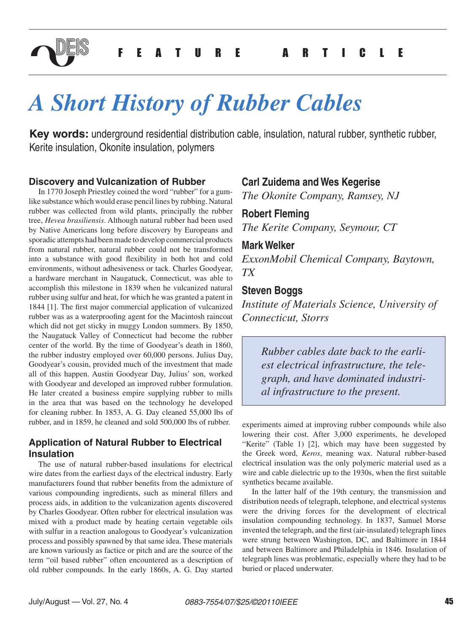

# *A Short History of Rubber Cables*

**Key words:** underground residential distribution cable, insulation, natural rubber, synthetic rubber, Kerite insulation, Okonite insulation, polymers

#### **Discovery and Vulcanization of Rubber**

In 1770 Joseph Priestley coined the word "rubber" for a gumlike substance which would erase pencil lines by rubbing. Natural rubber was collected from wild plants, principally the rubber tree, *Hevea brasiliensis*. Although natural rubber had been used by Native Americans long before discovery by Europeans and sporadic attempts had been made to develop commercial products from natural rubber, natural rubber could not be transformed into a substance with good flexibility in both hot and cold environments, without adhesiveness or tack. Charles Goodyear, a hardware merchant in Naugatuck, Connecticut, was able to accomplish this milestone in 1839 when he vulcanized natural rubber using sulfur and heat, for which he was granted a patent in 1844 [1]. The first major commercial application of vulcanized rubber was as a waterproofing agent for the Macintosh raincoat which did not get sticky in muggy London summers. By 1850, the Naugatuck Valley of Connecticut had become the rubber center of the world. By the time of Goodyear's death in 1860, the rubber industry employed over 60,000 persons. Julius Day, Goodyear's cousin, provided much of the investment that made all of this happen. Austin Goodyear Day, Julius' son, worked with Goodyear and developed an improved rubber formulation. He later created a business empire supplying rubber to mills in the area that was based on the technology he developed for cleaning rubber. In 1853, A. G. Day cleaned 55,000 lbs of rubber, and in 1859, he cleaned and sold 500,000 lbs of rubber.

### **Application of Natural Rubber to Electrical Insulation**

The use of natural rubber-based insulations for electrical wire dates from the earliest days of the electrical industry. Early manufacturers found that rubber benefits from the admixture of various compounding ingredients, such as mineral fillers and process aids, in addition to the vulcanization agents discovered by Charles Goodyear. Often rubber for electrical insulation was mixed with a product made by heating certain vegetable oils with sulfur in a reaction analogous to Goodyear's vulcanization process and possibly spawned by that same idea. These materials are known variously as factice or pitch and are the source of the term "oil based rubber" often encountered as a description of old rubber compounds. In the early 1860s, A. G. Day started

## **Carl Zuidema and Wes Kegerise**

*The Okonite Company, Ramsey, NJ*

## **Robert Fleming**

*The Kerite Company, Seymour, CT*

## **Mark Welker**

*ExxonMobil Chemical Company, Baytown, TX*

## **Steven Boggs**

*Institute of Materials Science, University of Connecticut, Storrs*

*Rubber cables date back to the earliest electrical infrastructure, the telegraph, and have dominated industrial infrastructure to the present.*

experiments aimed at improving rubber compounds while also lowering their cost. After 3,000 experiments, he developed "Kerite" (Table 1) [2], which may have been suggested by the Greek word, *Keros*, meaning wax. Natural rubber-based electrical insulation was the only polymeric material used as a wire and cable dielectric up to the 1930s, when the first suitable synthetics became available.

In the latter half of the 19th century, the transmission and distribution needs of telegraph, telephone, and electrical systems were the driving forces for the development of electrical insulation compounding technology. In 1837, Samuel Morse invented the telegraph, and the first (air-insulated) telegraph lines were strung between Washington, DC, and Baltimore in 1844 and between Baltimore and Philadelphia in 1846. Insulation of telegraph lines was problematic, especially where they had to be buried or placed underwater.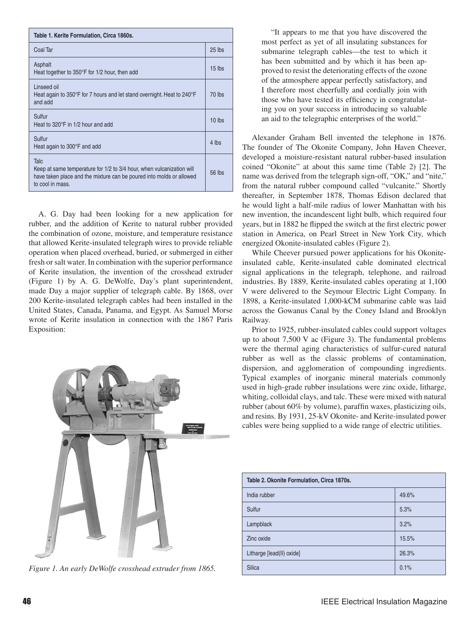| Table 1. Kerite Formulation, Circa 1860s.                                                                                                                                 |          |
|---------------------------------------------------------------------------------------------------------------------------------------------------------------------------|----------|
| Coal Tar                                                                                                                                                                  | $25$ lbs |
| Asphalt<br>Heat together to $350^{\circ}$ F for $1/2$ hour, then add                                                                                                      | $15$ lbs |
| I inseed oil<br>Heat again to 350°F for 7 hours and let stand overnight. Heat to 240°F<br>and add                                                                         | 70 lbs   |
| Sulfur<br>Heat to 320°F in 1/2 hour and add                                                                                                                               | $10$ lbs |
| Sulfur<br>Heat again to 300°F and add                                                                                                                                     | 4 lbs    |
| Talc<br>Keep at same temperature for 1/2 to 3/4 hour, when vulcanization will<br>have taken place and the mixture can be poured into molds or allowed<br>to cool in mass. | 56 lbs   |

A. G. Day had been looking for a new application for rubber, and the addition of Kerite to natural rubber provided the combination of ozone, moisture, and temperature resistance that allowed Kerite-insulated telegraph wires to provide reliable operation when placed overhead, buried, or submerged in either fresh or salt water. In combination with the superior performance of Kerite insulation, the invention of the crosshead extruder (Figure 1) by A. G. DeWolfe, Day's plant superintendent, made Day a major supplier of telegraph cable. By 1868, over 200 Kerite-insulated telegraph cables had been installed in the United States, Canada, Panama, and Egypt. As Samuel Morse wrote of Kerite insulation in connection with the 1867 Paris Exposition:



*Figure 1. An early DeWolfe crosshead extruder from 1865.*

"It appears to me that you have discovered the most perfect as yet of all insulating substances for submarine telegraph cables—the test to which it has been submitted and by which it has been approved to resist the deteriorating effects of the ozone of the atmosphere appear perfectly satisfactory, and I therefore most cheerfully and cordially join with those who have tested its efficiency in congratulating you on your success in introducing so valuable an aid to the telegraphic enterprises of the world."

Alexander Graham Bell invented the telephone in 1876. The founder of The Okonite Company, John Haven Cheever, developed a moisture-resistant natural rubber-based insulation coined "Okonite" at about this same time (Table 2) [2]. The name was derived from the telegraph sign-off, "OK," and "nite," from the natural rubber compound called "vulcanite." Shortly thereafter, in September 1878, Thomas Edison declared that he would light a half-mile radius of lower Manhattan with his new invention, the incandescent light bulb, which required four years, but in 1882 he flipped the switch at the first electric power station in America, on Pearl Street in New York City, which energized Okonite-insulated cables (Figure 2).

While Cheever pursued power applications for his Okoniteinsulated cable, Kerite-insulated cable dominated electrical signal applications in the telegraph, telephone, and railroad industries. By 1889, Kerite-insulated cables operating at 1,100 V were delivered to the Seymour Electric Light Company. In 1898, a Kerite-insulated 1,000-kCM submarine cable was laid across the Gowanus Canal by the Coney Island and Brooklyn Railway.

Prior to 1925, rubber-insulated cables could support voltages up to about 7,500 V ac (Figure 3). The fundamental problems were the thermal aging characteristics of sulfur-cured natural rubber as well as the classic problems of contamination, dispersion, and agglomeration of compounding ingredients. Typical examples of inorganic mineral materials commonly used in high-grade rubber insulations were zinc oxide, litharge, whiting, colloidal clays, and talc. These were mixed with natural rubber (about 60% by volume), paraffin waxes, plasticizing oils, and resins. By 1931, 25-kV Okonite- and Kerite-insulated power cables were being supplied to a wide range of electric utilities.

| Table 2. Okonite Formulation, Circa 1870s. |       |
|--------------------------------------------|-------|
| India rubber                               | 49.6% |
| Sulfur                                     | 5.3%  |
| Lampblack                                  | 3.2%  |
| Zinc oxide                                 | 15.5% |
| Litharge [lead(II) oxide]                  | 26.3% |
| <b>Silica</b>                              | 0.1%  |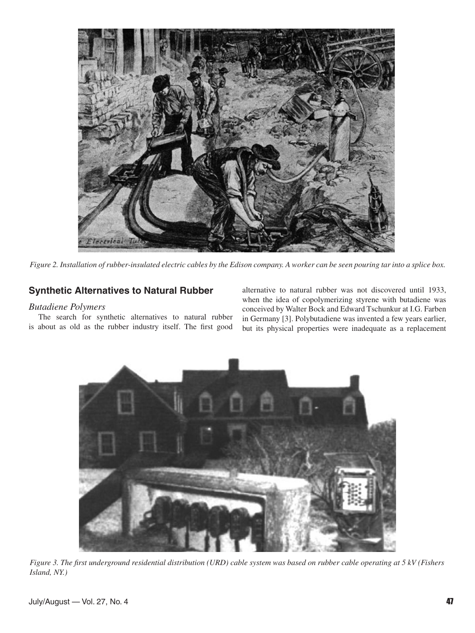

*Figure 2. Installation of rubber-insulated electric cables by the Edison company. A worker can be seen pouring tar into a splice box.*

## **Synthetic Alternatives to Natural Rubber**

#### *Butadiene Polymers*

The search for synthetic alternatives to natural rubber is about as old as the rubber industry itself. The first good

alternative to natural rubber was not discovered until 1933, when the idea of copolymerizing styrene with butadiene was conceived by Walter Bock and Edward Tschunkur at I.G. Farben in Germany [3]. Polybutadiene was invented a few years earlier, but its physical properties were inadequate as a replacement



*Figure 3. The first underground residential distribution (URD) cable system was based on rubber cable operating at 5 kV (Fishers Island, NY.)*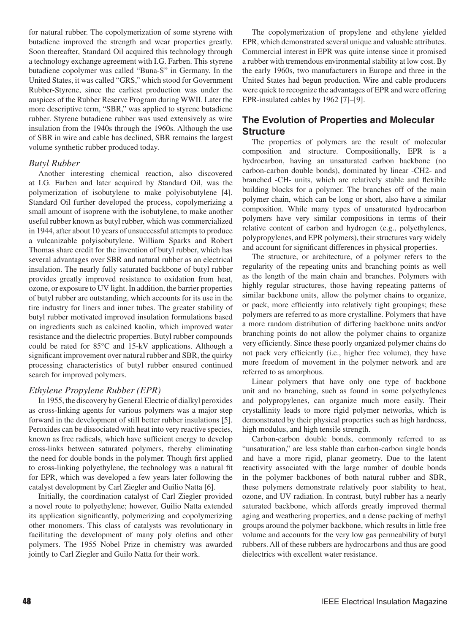for natural rubber. The copolymerization of some styrene with butadiene improved the strength and wear properties greatly. Soon thereafter, Standard Oil acquired this technology through a technology exchange agreement with I.G. Farben. This styrene butadiene copolymer was called "Buna-S" in Germany. In the United States, it was called "GRS," which stood for Government Rubber-Styrene, since the earliest production was under the auspices of the Rubber Reserve Program during WWII. Later the more descriptive term, "SBR," was applied to styrene butadiene rubber. Styrene butadiene rubber was used extensively as wire insulation from the 1940s through the 1960s. Although the use of SBR in wire and cable has declined, SBR remains the largest volume synthetic rubber produced today.

#### *Butyl Rubber*

Another interesting chemical reaction, also discovered at I.G. Farben and later acquired by Standard Oil, was the polymerization of isobutylene to make polyisobutylene [4]. Standard Oil further developed the process, copolymerizing a small amount of isoprene with the isobutylene, to make another useful rubber known as butyl rubber, which was commercialized in 1944, after about 10 years of unsuccessful attempts to produce a vulcanizable polyisobutylene. William Sparks and Robert Thomas share credit for the invention of butyl rubber, which has several advantages over SBR and natural rubber as an electrical insulation. The nearly fully saturated backbone of butyl rubber provides greatly improved resistance to oxidation from heat, ozone, or exposure to UV light. In addition, the barrier properties of butyl rubber are outstanding, which accounts for its use in the tire industry for liners and inner tubes. The greater stability of butyl rubber motivated improved insulation formulations based on ingredients such as calcined kaolin, which improved water resistance and the dielectric properties. Butyl rubber compounds could be rated for 85°C and 15-kV applications. Although a significant improvement over natural rubber and SBR, the quirky processing characteristics of butyl rubber ensured continued search for improved polymers.

#### *Ethylene Propylene Rubber (EPR)*

In 1955, the discovery by General Electric of dialkyl peroxides as cross-linking agents for various polymers was a major step forward in the development of still better rubber insulations [5]. Peroxides can be dissociated with heat into very reactive species, known as free radicals, which have sufficient energy to develop cross-links between saturated polymers, thereby eliminating the need for double bonds in the polymer. Though first applied to cross-linking polyethylene, the technology was a natural fit for EPR, which was developed a few years later following the catalyst development by Carl Ziegler and Guilio Natta [6].

Initially, the coordination catalyst of Carl Ziegler provided a novel route to polyethylene; however, Guilio Natta extended its application significantly, polymerizing and copolymerizing other monomers. This class of catalysts was revolutionary in facilitating the development of many poly olefins and other polymers. The 1955 Nobel Prize in chemistry was awarded jointly to Carl Ziegler and Guilo Natta for their work.

The copolymerization of propylene and ethylene yielded EPR, which demonstrated several unique and valuable attributes. Commercial interest in EPR was quite intense since it promised a rubber with tremendous environmental stability at low cost. By the early 1960s, two manufacturers in Europe and three in the United States had begun production. Wire and cable producers were quick to recognize the advantages of EPR and were offering EPR-insulated cables by 1962 [7]–[9].

#### **The Evolution of Properties and Molecular Structure**

The properties of polymers are the result of molecular composition and structure. Compositionally, EPR is a hydrocarbon, having an unsaturated carbon backbone (no carbon-carbon double bonds), dominated by linear -CH2- and branched -CH- units, which are relatively stable and flexible building blocks for a polymer. The branches off of the main polymer chain, which can be long or short, also have a similar composition. While many types of unsaturated hydrocarbon polymers have very similar compositions in terms of their relative content of carbon and hydrogen (e.g., polyethylenes, polypropylenes, and EPR polymers), their structures vary widely and account for significant differences in physical properties.

The structure, or architecture, of a polymer refers to the regularity of the repeating units and branching points as well as the length of the main chain and branches. Polymers with highly regular structures, those having repeating patterns of similar backbone units, allow the polymer chains to organize, or pack, more efficiently into relatively tight groupings; these polymers are referred to as more crystalline. Polymers that have a more random distribution of differing backbone units and/or branching points do not allow the polymer chains to organize very efficiently. Since these poorly organized polymer chains do not pack very efficiently (i.e., higher free volume), they have more freedom of movement in the polymer network and are referred to as amorphous.

Linear polymers that have only one type of backbone unit and no branching, such as found in some polyethylenes and polypropylenes, can organize much more easily. Their crystallinity leads to more rigid polymer networks, which is demonstrated by their physical properties such as high hardness, high modulus, and high tensile strength.

Carbon-carbon double bonds, commonly referred to as "unsaturation," are less stable than carbon-carbon single bonds and have a more rigid, planar geometry. Due to the latent reactivity associated with the large number of double bonds in the polymer backbones of both natural rubber and SBR, these polymers demonstrate relatively poor stability to heat, ozone, and UV radiation. In contrast, butyl rubber has a nearly saturated backbone, which affords greatly improved thermal aging and weathering properties, and a dense packing of methyl groups around the polymer backbone, which results in little free volume and accounts for the very low gas permeability of butyl rubbers. All of these rubbers are hydrocarbons and thus are good dielectrics with excellent water resistance.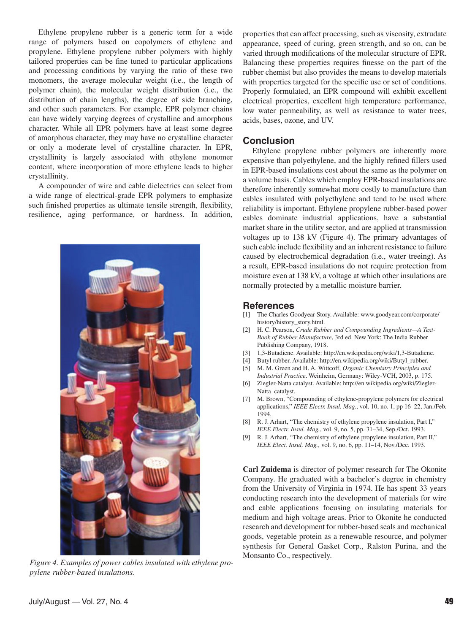Ethylene propylene rubber is a generic term for a wide range of polymers based on copolymers of ethylene and propylene. Ethylene propylene rubber polymers with highly tailored properties can be fine tuned to particular applications and processing conditions by varying the ratio of these two monomers, the average molecular weight (i.e., the length of polymer chain), the molecular weight distribution (i.e., the distribution of chain lengths), the degree of side branching, and other such parameters. For example, EPR polymer chains can have widely varying degrees of crystalline and amorphous character. While all EPR polymers have at least some degree of amorphous character, they may have no crystalline character or only a moderate level of crystalline character. In EPR, crystallinity is largely associated with ethylene monomer content, where incorporation of more ethylene leads to higher crystallinity.

A compounder of wire and cable dielectrics can select from a wide range of electrical-grade EPR polymers to emphasize such finished properties as ultimate tensile strength, flexibility, resilience, aging performance, or hardness. In addition,



Monsanto Co., respectively. *Figure 4. Examples of power cables insulated with ethylene propylene rubber-based insulations.*

properties that can affect processing, such as viscosity, extrudate appearance, speed of curing, green strength, and so on, can be varied through modifications of the molecular structure of EPR. Balancing these properties requires finesse on the part of the rubber chemist but also provides the means to develop materials with properties targeted for the specific use or set of conditions. Properly formulated, an EPR compound will exhibit excellent electrical properties, excellent high temperature performance, low water permeability, as well as resistance to water trees, acids, bases, ozone, and UV.

#### **Conclusion**

Ethylene propylene rubber polymers are inherently more expensive than polyethylene, and the highly refined fillers used in EPR-based insulations cost about the same as the polymer on a volume basis. Cables which employ EPR-based insulations are therefore inherently somewhat more costly to manufacture than cables insulated with polyethylene and tend to be used where reliability is important. Ethylene propylene rubber-based power cables dominate industrial applications, have a substantial market share in the utility sector, and are applied at transmission voltages up to 138 kV (Figure 4). The primary advantages of such cable include flexibility and an inherent resistance to failure caused by electrochemical degradation (i.e., water treeing). As a result, EPR-based insulations do not require protection from moisture even at 138 kV, a voltage at which other insulations are normally protected by a metallic moisture barrier.

#### **References**

- [1] The Charles Goodyear Story. Available: www.goodyear.com/corporate/ history/history\_story.html.
- [2] H. C. Pearson, *Crude Rubber and Compounding Ingredients—A Text-Book of Rubber Manufacture*, 3rd ed. New York: The India Rubber Publishing Company, 1918.
- [3] 1,3-Butadiene. Available: http://en.wikipedia.org/wiki/1,3-Butadiene.
- [4] Butyl rubber. Available: http://en.wikipedia.org/wiki/Butyl\_rubber.
- [5] M. M. Green and H. A. Wittcoff, *Organic Chemistry Principles and Industrial Practice*. Weinheim, Germany: Wiley-VCH, 2003, p. 175.
- [6] Ziegler-Natta catalyst. Available: http://en.wikipedia.org/wiki/Ziegler-Natta\_catalyst.
- [7] M. Brown, "Compounding of ethylene-propylene polymers for electrical applications," *IEEE Electr. Insul. Mag.*, vol. 10, no. 1, pp 16–22, Jan./Feb. 1994.
- [8] R. J. Arhart, "The chemistry of ethylene propylene insulation, Part I," *IEEE Electr. Insul. Mag.*, vol. 9, no. 5, pp. 31–34, Sep./Oct. 1993.
- [9] R. J. Arhart, "The chemistry of ethylene propylene insulation, Part II," *IEEE Elect. Insul. Mag.*, vol. 9, no. 6, pp. 11–14, Nov./Dec. 1993.

**Carl Zuidema** is director of polymer research for The Okonite Company. He graduated with a bachelor's degree in chemistry from the University of Virginia in 1974. He has spent 33 years conducting research into the development of materials for wire and cable applications focusing on insulating materials for medium and high voltage areas. Prior to Okonite he conducted research and development for rubber-based seals and mechanical goods, vegetable protein as a renewable resource, and polymer synthesis for General Gasket Corp., Ralston Purina, and the